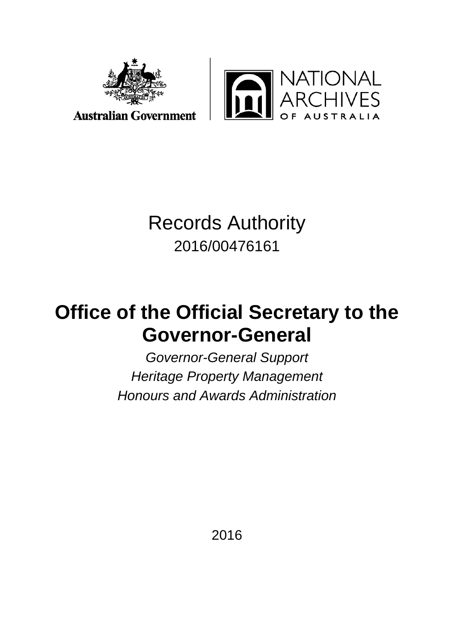

**ATIONAL<br>CHIVES** In

# Records Authority

2016/00476161

## **Office of the Official Secretary to the Governor-General**

*Governor-General Support Heritage Property Management Honours and Awards Administration* 

2016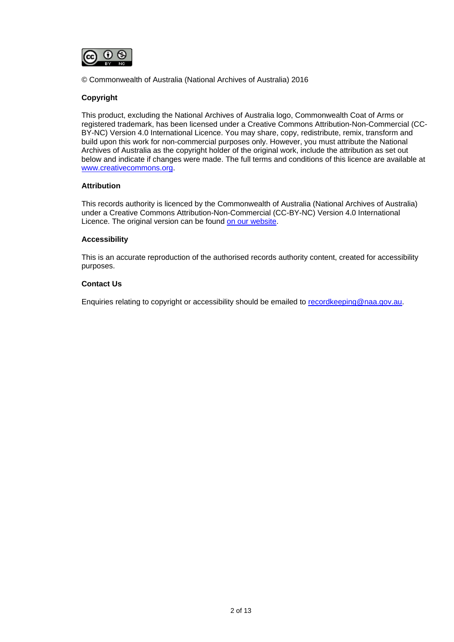

© Commonwealth of Australia (National Archives of Australia) 2016

#### **Copyright**

This product, excluding the National Archives of Australia logo, Commonwealth Coat of Arms or registered trademark, has been licensed under a Creative Commons Attribution-Non-Commercial (CC-BY-NC) Version 4.0 International Licence. You may share, copy, redistribute, remix, transform and build upon this work for non-commercial purposes only. However, you must attribute the National Archives of Australia as the copyright holder of the original work, include the attribution as set out below and indicate if changes were made. The full terms and conditions of this licence are available at [www.creativecommons.org.](http://www.creativecommons.org/)

#### **Attribution**

This records authority is licenced by the Commonwealth of Australia (National Archives of Australia) under a Creative Commons Attribution-Non-Commercial (CC-BY-NC) Version 4.0 International Licence. The original version can be found [on our website.](http://www.naa.gov.au/)

#### **Accessibility**

This is an accurate reproduction of the authorised records authority content, created for accessibility purposes.

#### **Contact Us**

Enquiries relating to copyright or accessibility should be emailed to [recordkeeping@naa.gov.au.](mailto:recordkeeping@naa.gov.au)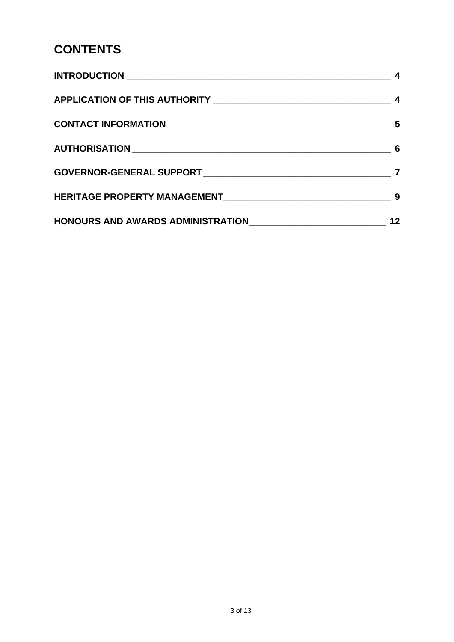## **CONTENTS**

| 4 |
|---|
|   |
|   |
|   |
|   |
|   |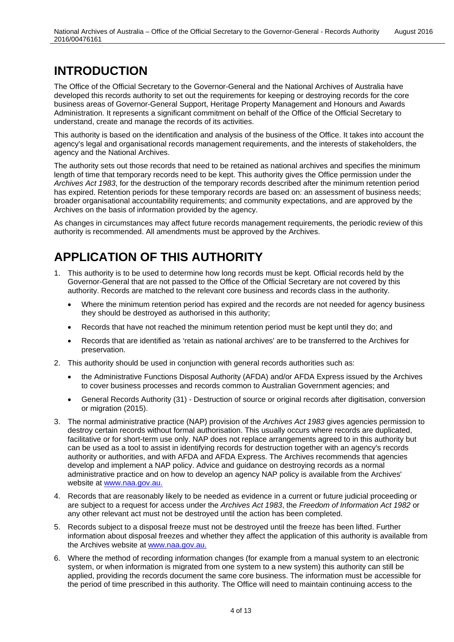## <span id="page-3-0"></span>**INTRODUCTION**

The Office of the Official Secretary to the Governor-General and the National Archives of Australia have developed this records authority to set out the requirements for keeping or destroying records for the core business areas of Governor-General Support, Heritage Property Management and Honours and Awards Administration. It represents a significant commitment on behalf of the Office of the Official Secretary to understand, create and manage the records of its activities.

This authority is based on the identification and analysis of the business of the Office. It takes into account the agency's legal and organisational records management requirements, and the interests of stakeholders, the agency and the National Archives.

The authority sets out those records that need to be retained as national archives and specifies the minimum length of time that temporary records need to be kept. This authority gives the Office permission under the *Archives Act 1983*, for the destruction of the temporary records described after the minimum retention period has expired. Retention periods for these temporary records are based on: an assessment of business needs; broader organisational accountability requirements; and community expectations, and are approved by the Archives on the basis of information provided by the agency.

As changes in circumstances may affect future records management requirements, the periodic review of this authority is recommended. All amendments must be approved by the Archives.

## <span id="page-3-1"></span>**APPLICATION OF THIS AUTHORITY**

- 1. This authority is to be used to determine how long records must be kept. Official records held by the Governor-General that are not passed to the Office of the Official Secretary are not covered by this authority. Records are matched to the relevant core business and records class in the authority.
	- Where the minimum retention period has expired and the records are not needed for agency business they should be destroyed as authorised in this authority;
	- Records that have not reached the minimum retention period must be kept until they do; and
	- Records that are identified as 'retain as national archives' are to be transferred to the Archives for preservation.
- 2. This authority should be used in conjunction with general records authorities such as:
	- the Administrative Functions Disposal Authority (AFDA) and/or AFDA Express issued by the Archives to cover business processes and records common to Australian Government agencies; and
	- General Records Authority (31) Destruction of source or original records after digitisation, conversion or migration (2015).
- 3. The normal administrative practice (NAP) provision of the *Archives Act 1983* gives agencies permission to destroy certain records without formal authorisation. This usually occurs where records are duplicated, facilitative or for short-term use only. NAP does not replace arrangements agreed to in this authority but can be used as a tool to assist in identifying records for destruction together with an agency's records authority or authorities, and with AFDA and AFDA Express. The Archives recommends that agencies develop and implement a NAP policy. Advice and guidance on destroying records as a normal administrative practice and on how to develop an agency NAP policy is available from the Archives' website at [www.naa.gov.au.](http://www.naa.gov.au/)
- 4. Records that are reasonably likely to be needed as evidence in a current or future judicial proceeding or are subject to a request for access under the *Archives Act 1983*, the *Freedom of Information Act 1982* or any other relevant act must not be destroyed until the action has been completed.
- 5. Records subject to a disposal freeze must not be destroyed until the freeze has been lifted. Further information about disposal freezes and whether they affect the application of this authority is available from the Archives website at [www.naa.gov.au.](http://www.naa.gov.au/)
- 6. Where the method of recording information changes (for example from a manual system to an electronic system, or when information is migrated from one system to a new system) this authority can still be applied, providing the records document the same core business. The information must be accessible for the period of time prescribed in this authority. The Office will need to maintain continuing access to the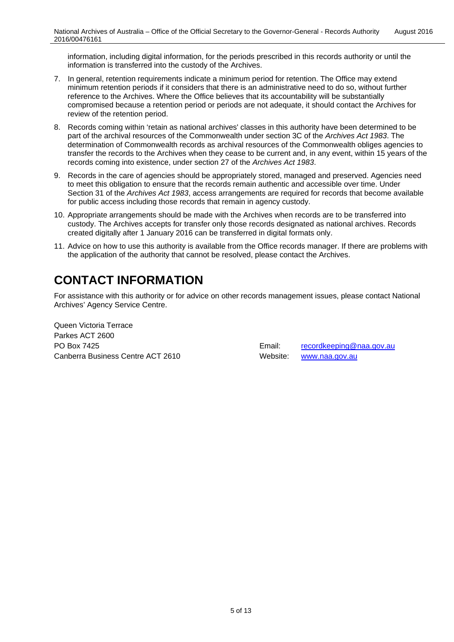information, including digital information, for the periods prescribed in this records authority or until the information is transferred into the custody of the Archives.

- 7. In general, retention requirements indicate a minimum period for retention. The Office may extend minimum retention periods if it considers that there is an administrative need to do so, without further reference to the Archives. Where the Office believes that its accountability will be substantially compromised because a retention period or periods are not adequate, it should contact the Archives for review of the retention period.
- 8. Records coming within 'retain as national archives' classes in this authority have been determined to be part of the archival resources of the Commonwealth under section 3C of the *Archives Act 1983*. The determination of Commonwealth records as archival resources of the Commonwealth obliges agencies to transfer the records to the Archives when they cease to be current and, in any event, within 15 years of the records coming into existence, under section 27 of the *Archives Act 1983*.
- 9. Records in the care of agencies should be appropriately stored, managed and preserved. Agencies need to meet this obligation to ensure that the records remain authentic and accessible over time. Under Section 31 of the *Archives Act 1983*, access arrangements are required for records that become available for public access including those records that remain in agency custody.
- 10. Appropriate arrangements should be made with the Archives when records are to be transferred into custody. The Archives accepts for transfer only those records designated as national archives. Records created digitally after 1 January 2016 can be transferred in digital formats only.
- 11. Advice on how to use this authority is available from the Office records manager. If there are problems with the application of the authority that cannot be resolved, please contact the Archives.

## <span id="page-4-0"></span>**CONTACT INFORMATION**

For assistance with this authority or for advice on other records management issues, please contact National Archives' Agency Service Centre.

Queen Victoria Terrace Parkes ACT 2600 PO Box 7425 **Email:** [recordkeeping@naa.gov.au](mailto:recordkeeping@naa.gov.au) Canberra Business Centre ACT 2610 Website: [www.naa.gov.au](http://www.naa.gov.au/)

5 of 13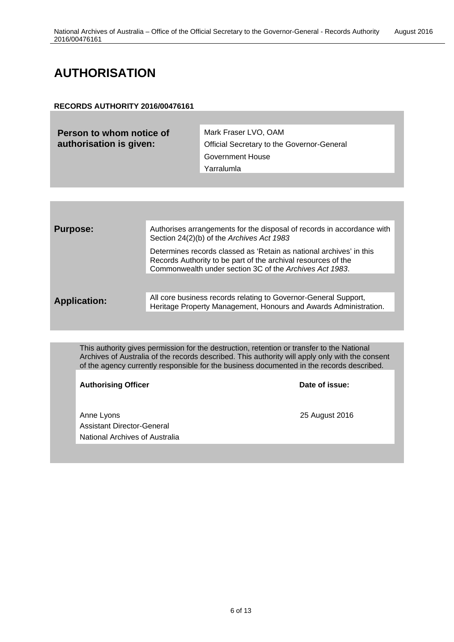## <span id="page-5-0"></span>**AUTHORISATION**

#### **RECORDS AUTHORITY 2016/00476161**

| Person to whom notice of<br>authorisation is given: | Mark Fraser LVO, OAM<br><b>Official Secretary to the Governor-General</b> |
|-----------------------------------------------------|---------------------------------------------------------------------------|
|                                                     | <b>Government House</b>                                                   |
|                                                     | Yarralumla                                                                |
|                                                     |                                                                           |

| <b>Purpose:</b>     | Authorises arrangements for the disposal of records in accordance with<br>Section 24(2)(b) of the Archives Act 1983                                                                             |
|---------------------|-------------------------------------------------------------------------------------------------------------------------------------------------------------------------------------------------|
|                     | Determines records classed as 'Retain as national archives' in this<br>Records Authority to be part of the archival resources of the<br>Commonwealth under section 3C of the Archives Act 1983. |
|                     |                                                                                                                                                                                                 |
| <b>Application:</b> | All core business records relating to Governor-General Support,<br>Heritage Property Management, Honours and Awards Administration.                                                             |
|                     |                                                                                                                                                                                                 |

This authority gives permission for the destruction, retention or transfer to the National Archives of Australia of the records described. This authority will apply only with the consent of the agency currently responsible for the business documented in the records described.

Authorising Officer **Contract Contract Contract Contract Contract Contract Contract Contract Contract Contract Contract Contract Contract Contract Contract Contract Contract Contract Contract Contract Contract Contract Con** 

Anne Lyons 25 August 2016 Assistant Director-General National Archives of Australia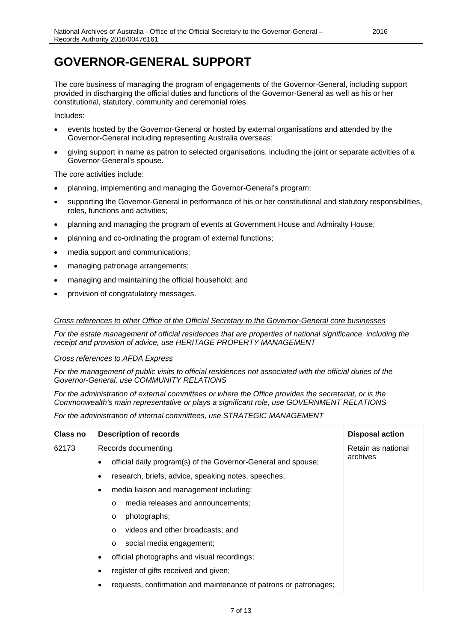## <span id="page-6-0"></span>**GOVERNOR-GENERAL SUPPORT**

The core business of managing the program of engagements of the Governor-General, including support provided in discharging the official duties and functions of the Governor-General as well as his or her constitutional, statutory, community and ceremonial roles.

Includes:

- events hosted by the Governor-General or hosted by external organisations and attended by the Governor-General including representing Australia overseas;
- giving support in name as patron to selected organisations, including the joint or separate activities of a Governor-General's spouse.

The core activities include:

- planning, implementing and managing the Governor-General's program;
- supporting the Governor-General in performance of his or her constitutional and statutory responsibilities, roles, functions and activities;
- planning and managing the program of events at Government House and Admiralty House;
- planning and co-ordinating the program of external functions;
- media support and communications;
- managing patronage arrangements;
- managing and maintaining the official household; and
- provision of congratulatory messages.

#### *Cross references to other Office of the Official Secretary to the Governor-General core businesses*

*For the estate management of official residences that are properties of national significance, including the receipt and provision of advice, use HERITAGE PROPERTY MANAGEMENT*

#### *Cross references to AFDA Express*

*For the management of public visits to official residences not associated with the official duties of the Governor-General, use COMMUNITY RELATIONS*

*For the administration of external committees or where the Office provides the secretariat, or is the Commonwealth's main representative or plays a significant role, use GOVERNMENT RELATIONS*

*For the administration of internal committees, use STRATEGIC MANAGEMENT*

| Class no | <b>Description of records</b>                                    | <b>Disposal action</b>         |
|----------|------------------------------------------------------------------|--------------------------------|
| 62173    | Records documenting                                              | Retain as national<br>archives |
|          | official daily program(s) of the Governor-General and spouse;    |                                |
|          | research, briefs, advice, speaking notes, speeches;<br>٠         |                                |
|          | media liaison and management including:<br>$\bullet$             |                                |
|          | media releases and announcements;<br>$\Omega$                    |                                |
|          | photographs;<br>$\circ$                                          |                                |
|          | videos and other broadcasts; and<br>$\circ$                      |                                |
|          | social media engagement;<br>$\circ$                              |                                |
|          | official photographs and visual recordings;<br>$\bullet$         |                                |
|          | register of gifts received and given;                            |                                |
|          | requests, confirmation and maintenance of patrons or patronages; |                                |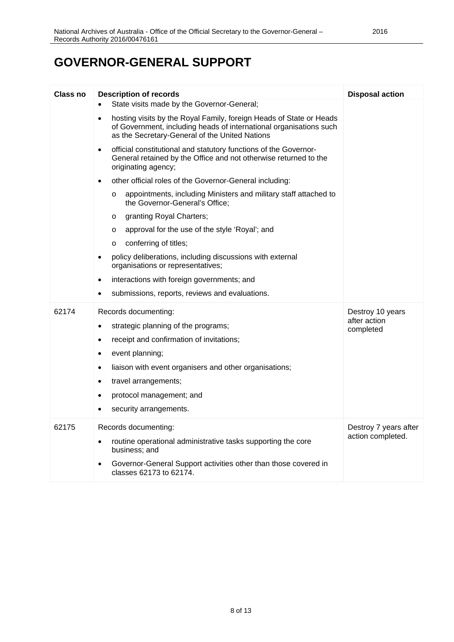## **GOVERNOR-GENERAL SUPPORT**

| <b>Class no</b> | <b>Description of records</b>                                                                                                                                                                            | <b>Disposal action</b>    |
|-----------------|----------------------------------------------------------------------------------------------------------------------------------------------------------------------------------------------------------|---------------------------|
|                 | State visits made by the Governor-General;<br>$\bullet$                                                                                                                                                  |                           |
|                 | hosting visits by the Royal Family, foreign Heads of State or Heads<br>$\bullet$<br>of Government, including heads of international organisations such<br>as the Secretary-General of the United Nations |                           |
|                 | official constitutional and statutory functions of the Governor-<br>$\bullet$<br>General retained by the Office and not otherwise returned to the<br>originating agency;                                 |                           |
|                 | other official roles of the Governor-General including:<br>$\bullet$                                                                                                                                     |                           |
|                 | appointments, including Ministers and military staff attached to<br>$\circ$<br>the Governor-General's Office;                                                                                            |                           |
|                 | granting Royal Charters;<br>$\circ$                                                                                                                                                                      |                           |
|                 | approval for the use of the style 'Royal'; and<br>$\circ$                                                                                                                                                |                           |
|                 | conferring of titles;<br>$\circ$                                                                                                                                                                         |                           |
|                 | policy deliberations, including discussions with external<br>$\bullet$<br>organisations or representatives;                                                                                              |                           |
|                 | interactions with foreign governments; and<br>$\bullet$                                                                                                                                                  |                           |
|                 | submissions, reports, reviews and evaluations.                                                                                                                                                           |                           |
| 62174           | Records documenting:                                                                                                                                                                                     | Destroy 10 years          |
|                 | strategic planning of the programs;<br>$\bullet$                                                                                                                                                         | after action<br>completed |
|                 | receipt and confirmation of invitations;<br>$\bullet$                                                                                                                                                    |                           |
|                 | event planning;<br>٠                                                                                                                                                                                     |                           |
|                 | liaison with event organisers and other organisations;<br>$\bullet$                                                                                                                                      |                           |
|                 | travel arrangements;<br>$\bullet$                                                                                                                                                                        |                           |
|                 | protocol management; and<br>$\bullet$                                                                                                                                                                    |                           |
|                 | security arrangements.                                                                                                                                                                                   |                           |
| 62175           | Records documenting:                                                                                                                                                                                     | Destroy 7 years after     |
|                 | routine operational administrative tasks supporting the core<br>business; and                                                                                                                            | action completed.         |
|                 | Governor-General Support activities other than those covered in<br>$\bullet$<br>classes 62173 to 62174.                                                                                                  |                           |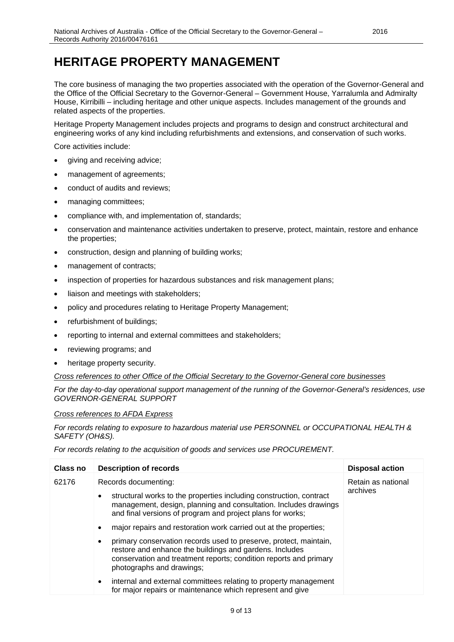## <span id="page-8-0"></span>**HERITAGE PROPERTY MANAGEMENT**

The core business of managing the two properties associated with the operation of the Governor-General and the Office of the Official Secretary to the Governor-General – Government House, Yarralumla and Admiralty House, Kirribilli – including heritage and other unique aspects. Includes management of the grounds and related aspects of the properties.

Heritage Property Management includes projects and programs to design and construct architectural and engineering works of any kind including refurbishments and extensions, and conservation of such works.

Core activities include:

- giving and receiving advice;
- management of agreements;
- conduct of audits and reviews;
- managing committees;
- compliance with, and implementation of, standards;
- conservation and maintenance activities undertaken to preserve, protect, maintain, restore and enhance the properties;
- construction, design and planning of building works;
- management of contracts;
- inspection of properties for hazardous substances and risk management plans;
- liaison and meetings with stakeholders;
- policy and procedures relating to Heritage Property Management;
- refurbishment of buildings;
- reporting to internal and external committees and stakeholders;
- reviewing programs; and
- heritage property security.

*Cross references to other Office of the Official Secretary to the Governor-General core businesses*

*For the day-to-day operational support management of the running of the Governor-General's residences, use GOVERNOR-GENERAL SUPPORT*

#### *Cross references to AFDA Express*

*For records relating to exposure to hazardous material use PERSONNEL or OCCUPATIONAL HEALTH & SAFETY (OH&S).*

*For records relating to the acquisition of goods and services use PROCUREMENT.*

| Class no | <b>Description of records</b>                                                                                                                                                                                                               | <b>Disposal action</b>         |
|----------|---------------------------------------------------------------------------------------------------------------------------------------------------------------------------------------------------------------------------------------------|--------------------------------|
| 62176    | Records documenting:<br>structural works to the properties including construction, contract<br>$\bullet$<br>management, design, planning and consultation. Includes drawings<br>and final versions of program and project plans for works;  | Retain as national<br>archives |
|          | major repairs and restoration work carried out at the properties;<br>٠                                                                                                                                                                      |                                |
|          | primary conservation records used to preserve, protect, maintain,<br>$\bullet$<br>restore and enhance the buildings and gardens. Includes<br>conservation and treatment reports; condition reports and primary<br>photographs and drawings; |                                |
|          | internal and external committees relating to property management<br>$\bullet$<br>for major repairs or maintenance which represent and give                                                                                                  |                                |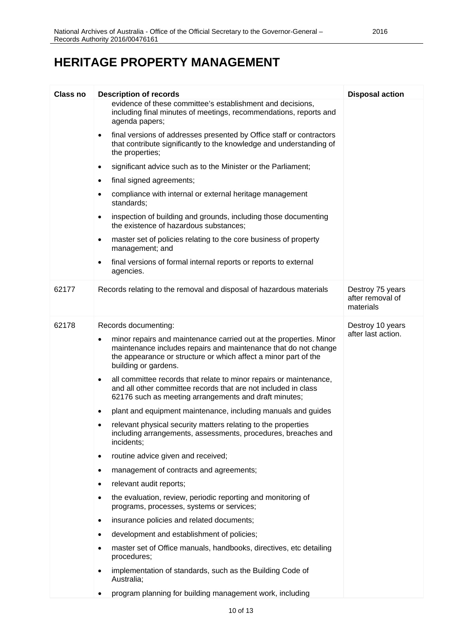## **HERITAGE PROPERTY MANAGEMENT**

| <b>Class no</b> | <b>Description of records</b>                                                                                                                                                                                                         | <b>Disposal action</b>                            |
|-----------------|---------------------------------------------------------------------------------------------------------------------------------------------------------------------------------------------------------------------------------------|---------------------------------------------------|
|                 | evidence of these committee's establishment and decisions,<br>including final minutes of meetings, recommendations, reports and<br>agenda papers;                                                                                     |                                                   |
|                 | final versions of addresses presented by Office staff or contractors<br>that contribute significantly to the knowledge and understanding of<br>the properties;                                                                        |                                                   |
|                 | significant advice such as to the Minister or the Parliament;                                                                                                                                                                         |                                                   |
|                 | final signed agreements;                                                                                                                                                                                                              |                                                   |
|                 | compliance with internal or external heritage management<br>standards;                                                                                                                                                                |                                                   |
|                 | inspection of building and grounds, including those documenting<br>the existence of hazardous substances;                                                                                                                             |                                                   |
|                 | master set of policies relating to the core business of property<br>management; and                                                                                                                                                   |                                                   |
|                 | final versions of formal internal reports or reports to external<br>agencies.                                                                                                                                                         |                                                   |
| 62177           | Records relating to the removal and disposal of hazardous materials                                                                                                                                                                   | Destroy 75 years<br>after removal of<br>materials |
| 62178           | Records documenting:                                                                                                                                                                                                                  | Destroy 10 years                                  |
|                 | minor repairs and maintenance carried out at the properties. Minor<br>٠<br>maintenance includes repairs and maintenance that do not change<br>the appearance or structure or which affect a minor part of the<br>building or gardens. | after last action.                                |
|                 | all committee records that relate to minor repairs or maintenance,<br>$\bullet$<br>and all other committee records that are not included in class<br>62176 such as meeting arrangements and draft minutes;                            |                                                   |
|                 | plant and equipment maintenance, including manuals and guides                                                                                                                                                                         |                                                   |
|                 | relevant physical security matters relating to the properties<br>including arrangements, assessments, procedures, breaches and<br>incidents;                                                                                          |                                                   |
|                 | routine advice given and received;<br>$\bullet$                                                                                                                                                                                       |                                                   |
|                 | management of contracts and agreements;                                                                                                                                                                                               |                                                   |
|                 | relevant audit reports;                                                                                                                                                                                                               |                                                   |
|                 | the evaluation, review, periodic reporting and monitoring of<br>programs, processes, systems or services;                                                                                                                             |                                                   |
|                 | insurance policies and related documents;<br>$\bullet$                                                                                                                                                                                |                                                   |
|                 | development and establishment of policies;                                                                                                                                                                                            |                                                   |
|                 | master set of Office manuals, handbooks, directives, etc detailing<br>procedures;                                                                                                                                                     |                                                   |
|                 | implementation of standards, such as the Building Code of<br>Australia;                                                                                                                                                               |                                                   |
|                 | program planning for building management work, including                                                                                                                                                                              |                                                   |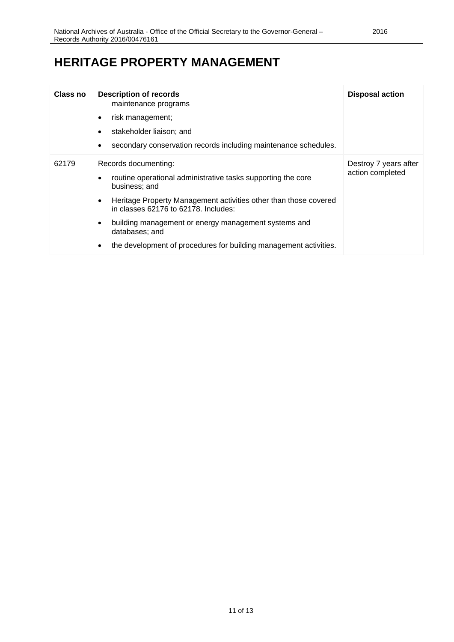## **HERITAGE PROPERTY MANAGEMENT**

| Class no | <b>Description of records</b>                                                                                         | <b>Disposal action</b>                    |
|----------|-----------------------------------------------------------------------------------------------------------------------|-------------------------------------------|
|          | maintenance programs                                                                                                  |                                           |
|          | risk management;<br>٠                                                                                                 |                                           |
|          | stakeholder liaison; and                                                                                              |                                           |
|          | secondary conservation records including maintenance schedules.<br>٠                                                  |                                           |
| 62179    | Records documenting:                                                                                                  | Destroy 7 years after<br>action completed |
| ٠        | routine operational administrative tasks supporting the core<br>business; and                                         |                                           |
|          | Heritage Property Management activities other than those covered<br>$\bullet$<br>in classes 62176 to 62178. Includes: |                                           |
|          | building management or energy management systems and<br>٠<br>databases; and                                           |                                           |
|          | the development of procedures for building management activities.<br>$\bullet$                                        |                                           |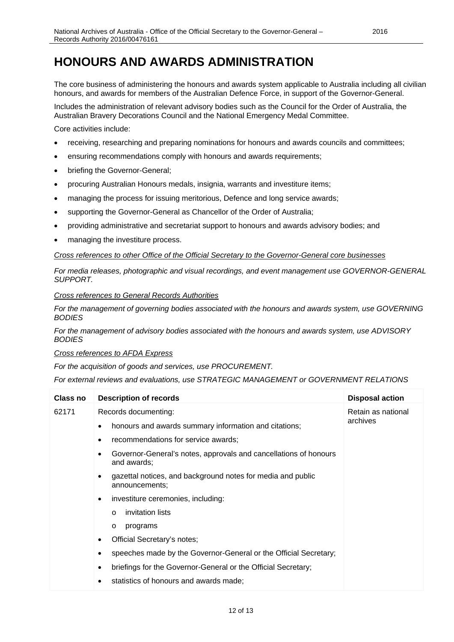## <span id="page-11-0"></span>**HONOURS AND AWARDS ADMINISTRATION**

The core business of administering the honours and awards system applicable to Australia including all civilian honours, and awards for members of the Australian Defence Force, in support of the Governor-General.

Includes the administration of relevant advisory bodies such as the Council for the Order of Australia, the Australian Bravery Decorations Council and the National Emergency Medal Committee.

Core activities include:

- receiving, researching and preparing nominations for honours and awards councils and committees;
- ensuring recommendations comply with honours and awards requirements:
- briefing the Governor-General;
- procuring Australian Honours medals, insignia, warrants and investiture items;
- managing the process for issuing meritorious, Defence and long service awards;
- supporting the Governor-General as Chancellor of the Order of Australia;
- providing administrative and secretariat support to honours and awards advisory bodies; and
- managing the investiture process.

#### *Cross references to other Office of the Official Secretary to the Governor-General core businesses*

*For media releases, photographic and visual recordings, and event management use GOVERNOR-GENERAL SUPPORT.*

#### *Cross references to General Records Authorities*

*For the management of governing bodies associated with the honours and awards system, use GOVERNING BODIES*

*For the management of advisory bodies associated with the honours and awards system, use ADVISORY BODIES*

*Cross references to AFDA Express*

*For the acquisition of goods and services, use PROCUREMENT.*

*For external reviews and evaluations, use STRATEGIC MANAGEMENT or GOVERNMENT RELATIONS*

| Class no | <b>Description of records</b>                                                      | <b>Disposal action</b> |
|----------|------------------------------------------------------------------------------------|------------------------|
| 62171    | Records documenting:                                                               | Retain as national     |
|          | honours and awards summary information and citations;<br>٠                         | archives               |
|          | recommendations for service awards;<br>٠                                           |                        |
|          | Governor-General's notes, approvals and cancellations of honours<br>and awards:    |                        |
|          | gazettal notices, and background notes for media and public<br>٠<br>announcements; |                        |
|          | investiture ceremonies, including:<br>$\bullet$                                    |                        |
|          | invitation lists<br>$\circ$                                                        |                        |
|          | programs<br>$\circ$                                                                |                        |
|          | Official Secretary's notes;<br>$\bullet$                                           |                        |
|          | speeches made by the Governor-General or the Official Secretary;<br>٠              |                        |
|          | briefings for the Governor-General or the Official Secretary;<br>٠                 |                        |
|          | statistics of honours and awards made;<br>٠                                        |                        |